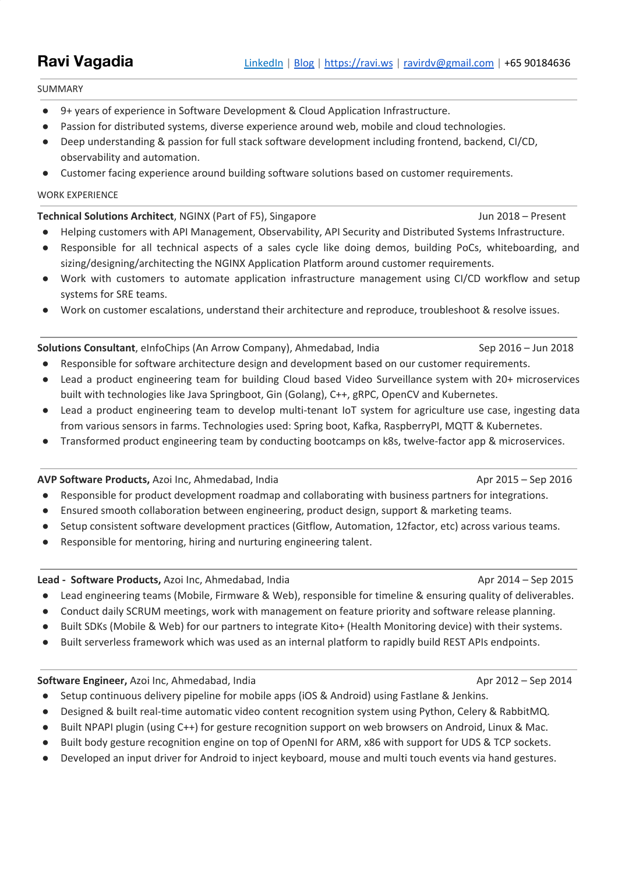SUMMARY

- 9+ years of experience in Software Development & Cloud Application Infrastructure.
- Passion for distributed systems, diverse experience around web, mobile and cloud technologies.
- Deep understanding & passion for full stack software development including frontend, backend, CI/CD, observability and automation.
- Customer facing experience around building software solutions based on customer requirements.

### WORK EXPERIENCE

## **Technical Solutions Architect**, NGINX (Part of F5), Singapore Jun 2018 – Present

- Helping customers with API Management, Observability, API Security and Distributed Systems Infrastructure.
- Responsible for all technical aspects of a sales cycle like doing demos, building PoCs, whiteboarding, and sizing/designing/architecting the NGINX Application Platform around customer requirements.
- Work with customers to automate application infrastructure management using CI/CD workflow and setup systems for SRE teams.
- Work on customer escalations, understand their architecture and reproduce, troubleshoot & resolve issues.

## **Solutions Consultant**, eInfoChips (An Arrow Company), Ahmedabad, India Sep 2016 – Jun 2018

- Responsible for software architecture design and development based on our customer requirements.
- Lead a product engineering team for building Cloud based Video Surveillance system with 20+ microservices built with technologies like Java Springboot, Gin (Golang), C++, gRPC, OpenCV and Kubernetes.
- Lead a product engineering team to develop multi-tenant IoT system for agriculture use case, ingesting data from various sensors in farms. Technologies used: Spring boot, Kafka, RaspberryPI, MQTT & Kubernetes.
- Transformed product engineering team by conducting bootcamps on k8s, twelve-factor app & microservices.

## **AVP Software Products,** Azoi Inc, Ahmedabad, India Apr 2015 – Sep 2016 Apr 2015 – Sep 2016

- Responsible for product development roadmap and collaborating with business partners for integrations.
- Ensured smooth collaboration between engineering, product design, support & marketing teams.
- Setup consistent software development practices (Gitflow, Automation, 12factor, etc) across various teams.
- Responsible for mentoring, hiring and nurturing engineering talent.

## **Lead - Software Products,** Azoi Inc, Ahmedabad, India Apr 2014 – Sep 2015

- Lead engineering teams (Mobile, Firmware & Web), responsible for timeline & ensuring quality of deliverables.
- Conduct daily SCRUM meetings, work with management on feature priority and software release planning.
- Built SDKs (Mobile & Web) for our partners to integrate Kito+ (Health Monitoring device) with their systems.
- Built serverless framework which was used as an internal platform to rapidly build REST APIs endpoints.

## **Software Engineer,** Azoi Inc, Ahmedabad, India Apr 2012 – Sep 2014 Apr 2012 – Sep 2014

- Setup continuous delivery pipeline for mobile apps (iOS & Android) using Fastlane & Jenkins.
- Designed & built real-time automatic video content recognition system using Python, Celery & RabbitMQ.
- Built NPAPI plugin (using C++) for gesture recognition support on web browsers on Android, Linux & Mac.
- Built body gesture recognition engine on top of OpenNI for ARM, x86 with support for UDS & TCP sockets.
- Developed an input driver for Android to inject keyboard, mouse and multi touch events via hand gestures.